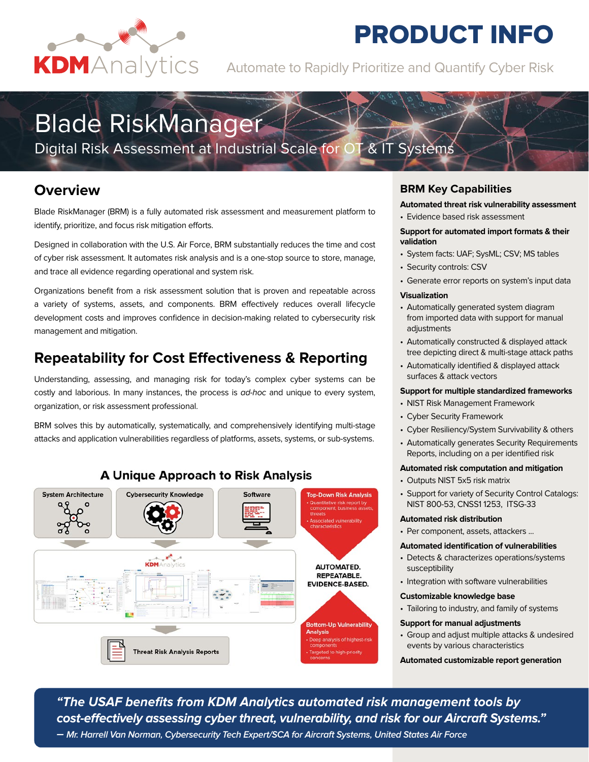

## **PRODUCT INFO**

KDMAnalytics Automate to Rapidly Prioritize and Quantify Cyber Risk

# Blade RiskManager

Digital Risk Assessment at Industrial Scale for OT & IT Systems

## **Overview**

Blade RiskManager (BRM) is a fully automated risk assessment and measurement platform to identify, prioritize, and focus risk mitigation efforts.

Designed in collaboration with the U.S. Air Force, BRM substantially reduces the time and cost of cyber risk assessment. It automates risk analysis and is a one-stop source to store, manage, and trace all evidence regarding operational and system risk.

Organizations benefit from a risk assessment solution that is proven and repeatable across a variety of systems, assets, and components. BRM effectively reduces overall lifecycle development costs and improves confidence in decision-making related to cybersecurity risk management and mitigation.

## **Repeatability for Cost Effectiveness & Reporting**

Understanding, assessing, and managing risk for today's complex cyber systems can be costly and laborious. In many instances, the process is *ad-hoc* and unique to every system, organization, or risk assessment professional.

BRM solves this by automatically, systematically, and comprehensively identifying multi-stage attacks and application vulnerabilities regardless of platforms, assets, systems, or sub-systems.



### **A Unique Approach to Risk Analysis**

#### **BRM Key Capabilities**

- **Automated threat risk vulnerability assessment**
- Evidence based risk assessment

#### **Support for automated import formats & their validation**

- System facts: UAF; SysML; CSV; MS tables
- Security controls: CSV
- Generate error reports on system's input data

#### **Visualization**

- Automatically generated system diagram from imported data with support for manual adjustments
- Automatically constructed & displayed attack tree depicting direct & multi-stage attack paths
- Automatically identified & displayed attack surfaces & attack vectors

#### **Support for multiple standardized frameworks**

- NIST Risk Management Framework
- Cyber Security Framework
- Cyber Resiliency/System Survivability & others
- Automatically generates Security Requirements Reports, including on a per identified risk

#### **Automated risk computation and mitigation**

- Outputs NIST 5x5 risk matrix
- Support for variety of Security Control Catalogs: NIST 800-53, CNSS1 1253, ITSG-33

#### **Automated risk distribution**

• Per component, assets, attackers ...

#### **Automated identification of vulnerabilities**

- Detects & characterizes operations/systems susceptibility
- Integration with software vulnerabilities

#### **Customizable knowledge base**

• Tailoring to industry, and family of systems

#### **Support for manual adjustments**

• Group and adjust multiple attacks & undesired events by various characteristics

**Automated customizable report generation**

*"The USAF benefits from KDM Analytics automated risk management tools by cost-effectively assessing cyber threat, vulnerability, and risk for our Aircraft Systems." – Mr. Harrell Van Norman, Cybersecurity Tech Expert/SCA for Aircraft Systems, United States Air Force*